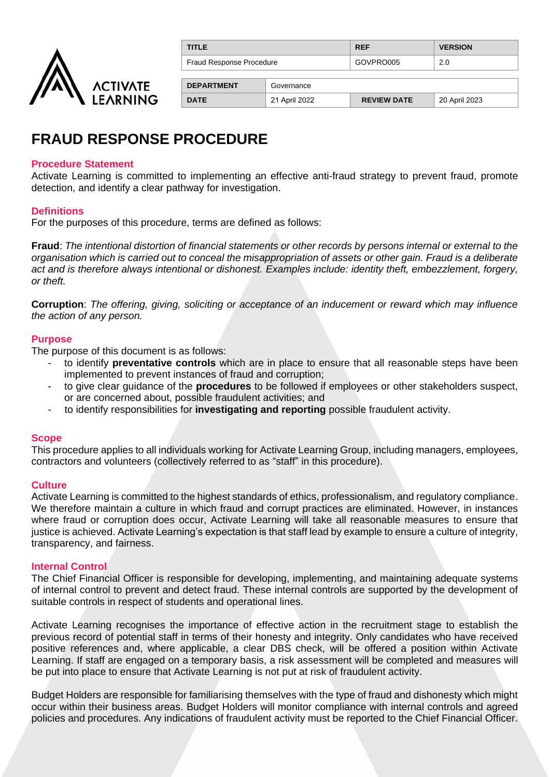

| <b>TITLE</b>             | <b>REF</b> | <b>VERSION</b> |
|--------------------------|------------|----------------|
| Fraud Response Procedure | GOVPRO005  | 2.0            |

| <b>DEPARTMENT</b> | Governance    |                    |               |
|-------------------|---------------|--------------------|---------------|
| <b>DATE</b>       | 21 April 2022 | <b>REVIEW DATE</b> | 20 April 2023 |

# **FRAUD RESPONSE PROCEDURE**

### **Procedure Statement**

Activate Learning is committed to implementing an effective anti-fraud strategy to prevent fraud, promote detection, and identify a clear pathway for investigation.

#### **Definitions**

For the purposes of this procedure, terms are defined as follows:

**Fraud**: *The intentional distortion of financial statements or other records by persons internal or external to the organisation which is carried out to conceal the misappropriation of assets or other gain. Fraud is a deliberate act and is therefore always intentional or dishonest. Examples include: identity theft, embezzlement, forgery, or theft.* 

**Corruption**: *The offering, giving, soliciting or acceptance of an inducement or reward which may influence the action of any person.* 

#### **Purpose**

The purpose of this document is as follows:

- to identify **preventative controls** which are in place to ensure that all reasonable steps have been implemented to prevent instances of fraud and corruption;
- to give clear guidance of the **procedures** to be followed if employees or other stakeholders suspect, or are concerned about, possible fraudulent activities; and
- to identify responsibilities for **investigating and reporting** possible fraudulent activity.

#### **Scope**

This procedure applies to all individuals working for Activate Learning Group, including managers, employees, contractors and volunteers (collectively referred to as "staff" in this procedure).

#### **Culture**

Activate Learning is committed to the highest standards of ethics, professionalism, and regulatory compliance. We therefore maintain a culture in which fraud and corrupt practices are eliminated. However, in instances where fraud or corruption does occur, Activate Learning will take all reasonable measures to ensure that justice is achieved. Activate Learning's expectation is that staff lead by example to ensure a culture of integrity, transparency, and fairness.

#### **Internal Control**

The Chief Financial Officer is responsible for developing, implementing, and maintaining adequate systems of internal control to prevent and detect fraud. These internal controls are supported by the development of suitable controls in respect of students and operational lines.

Activate Learning recognises the importance of effective action in the recruitment stage to establish the previous record of potential staff in terms of their honesty and integrity. Only candidates who have received positive references and, where applicable, a clear DBS check, will be offered a position within Activate Learning. If staff are engaged on a temporary basis, a risk assessment will be completed and measures will be put into place to ensure that Activate Learning is not put at risk of fraudulent activity.

Budget Holders are responsible for familiarising themselves with the type of fraud and dishonesty which might occur within their business areas. Budget Holders will monitor compliance with internal controls and agreed policies and procedures. Any indications of fraudulent activity must be reported to the Chief Financial Officer.